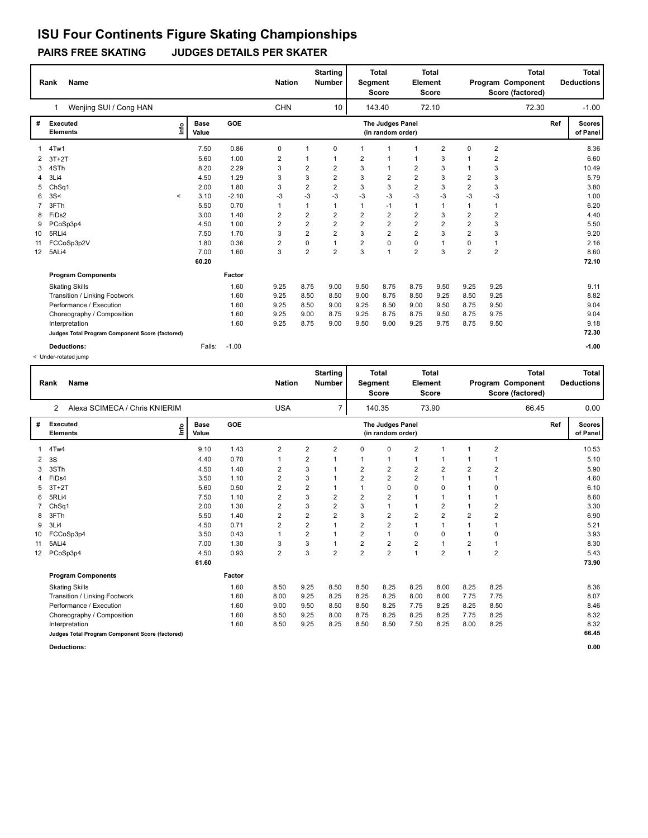### **PAIRS FREE SKATING JUDGES DETAILS PER SKATER**

|                 | Name<br>Rank                                    |                      | <b>Nation</b> |                         |                         | <b>Starting</b><br><b>Number</b> |                | <b>Total</b><br>Segment<br><b>Score</b> | <b>Total</b><br>Element<br><b>Score</b> |                | <b>Total</b><br>Program Component<br>Score (factored) |                         |       | <b>Total</b><br><b>Deductions</b> |
|-----------------|-------------------------------------------------|----------------------|---------------|-------------------------|-------------------------|----------------------------------|----------------|-----------------------------------------|-----------------------------------------|----------------|-------------------------------------------------------|-------------------------|-------|-----------------------------------|
|                 | Wenjing SUI / Cong HAN<br>1                     |                      |               | <b>CHN</b>              |                         | 10                               |                | 143.40                                  |                                         | 72.10          |                                                       |                         | 72.30 | $-1.00$                           |
|                 | <b>Executed</b><br>١mfo<br><b>Elements</b>      | <b>Base</b><br>Value | GOE           |                         |                         |                                  |                | The Judges Panel<br>(in random order)   |                                         |                |                                                       |                         | Ref   | <b>Scores</b><br>of Panel         |
|                 | 4Tw1                                            | 7.50                 | 0.86          | 0                       | $\mathbf{1}$            | 0                                | 1              | $\mathbf 1$                             | $\mathbf{1}$                            | 2              | 0                                                     | 2                       |       | 8.36                              |
|                 | $3T+2T$                                         | 5.60                 | 1.00          | $\overline{\mathbf{c}}$ |                         |                                  | $\overline{2}$ | 1                                       | $\mathbf{1}$                            | 3              |                                                       | $\overline{\mathbf{c}}$ |       | 6.60                              |
| 3               | 4STh                                            | 8.20                 | 2.29          | 3                       | 2                       | $\overline{2}$                   | 3              | 1                                       | $\overline{2}$                          | 3              |                                                       | 3                       |       | 10.49                             |
|                 | 3Li4                                            | 4.50                 | 1.29          | 3                       | 3                       | $\overline{2}$                   | 3              | $\overline{2}$                          | $\overline{2}$                          | 3              | $\overline{2}$                                        | 3                       |       | 5.79                              |
| 5               | ChSq1                                           | 2.00                 | 1.80          | 3                       | $\overline{\mathbf{c}}$ | $\overline{\mathbf{c}}$          | 3              | 3                                       | $\overline{2}$                          | 3              | $\overline{2}$                                        | 3                       |       | 3.80                              |
| 6               | 3S<<br>$\prec$                                  | 3.10                 | $-2.10$       | $-3$                    | $-3$                    | $-3$                             | $-3$           | $-3$                                    | $-3$                                    | $-3$           | $-3$                                                  | -3                      |       | 1.00                              |
|                 | 3FTh                                            | 5.50                 | 0.70          | 1                       | 1                       |                                  | 1              | $-1$                                    | $\mathbf{1}$                            |                | $\mathbf 1$                                           | $\mathbf{1}$            |       | 6.20                              |
| 8               | FiDs2                                           | 3.00                 | 1.40          | 2                       | $\overline{2}$          | 2                                | $\overline{2}$ | $\overline{2}$                          | $\overline{2}$                          | 3              | $\overline{2}$                                        | $\overline{2}$          |       | 4.40                              |
| 9               | PCoSp3p4                                        | 4.50                 | 1.00          | $\overline{2}$          | $\overline{2}$          | $\overline{2}$                   | $\overline{2}$ | $\overline{2}$                          | $\overline{2}$                          | $\overline{2}$ | $\overline{2}$                                        | 3                       |       | 5.50                              |
| 10              | 5RLi4                                           | 7.50                 | 1.70          | 3                       | $\overline{2}$          | $\overline{2}$                   | 3              | $\overline{2}$                          | $\overline{2}$                          | 3              | $\overline{2}$                                        | 3                       |       | 9.20                              |
| 11              | FCCoSp3p2V                                      | 1.80                 | 0.36          | 2                       | 0                       |                                  | $\overline{2}$ | $\mathbf 0$                             | $\mathbf 0$                             |                | 0                                                     | $\mathbf{1}$            |       | 2.16                              |
| 12 <sup>2</sup> | 5ALi4                                           | 7.00                 | 1.60          | 3                       | $\overline{2}$          | $\overline{2}$                   | 3              | 1                                       | $\overline{2}$                          | 3              | $\overline{2}$                                        | $\overline{2}$          |       | 8.60                              |
|                 |                                                 | 60.20                |               |                         |                         |                                  |                |                                         |                                         |                |                                                       |                         |       | 72.10                             |
|                 | <b>Program Components</b>                       |                      | Factor        |                         |                         |                                  |                |                                         |                                         |                |                                                       |                         |       |                                   |
|                 | <b>Skating Skills</b>                           |                      | 1.60          | 9.25                    | 8.75                    | 9.00                             | 9.50           | 8.75                                    | 8.75                                    | 9.50           | 9.25                                                  | 9.25                    |       | 9.11                              |
|                 | Transition / Linking Footwork                   |                      | 1.60          | 9.25                    | 8.50                    | 8.50                             | 9.00           | 8.75                                    | 8.50                                    | 9.25           | 8.50                                                  | 9.25                    |       | 8.82                              |
|                 | Performance / Execution                         |                      | 1.60          | 9.25                    | 8.50                    | 9.00                             | 9.25           | 8.50                                    | 9.00                                    | 9.50           | 8.75                                                  | 9.50                    |       | 9.04                              |
|                 | Choreography / Composition                      |                      | 1.60          | 9.25                    | 9.00                    | 8.75                             | 9.25           | 8.75                                    | 8.75                                    | 9.50           | 8.75                                                  | 9.75                    |       | 9.04                              |
|                 | Interpretation                                  |                      | 1.60          | 9.25                    | 8.75                    | 9.00                             | 9.50           | 9.00                                    | 9.25                                    | 9.75           | 8.75                                                  | 9.50                    |       | 9.18                              |
|                 | Judges Total Program Component Score (factored) |                      |               |                         |                         |                                  |                |                                         |                                         |                |                                                       |                         |       | 72.30                             |
|                 | <b>Deductions:</b>                              | Falls:               | $-1.00$       |                         |                         |                                  |                |                                         |                                         |                |                                                       |                         |       | $-1.00$                           |

< Under-rotated jump

|    | <b>Name</b><br>Rank                                                    |                      |            | <b>Nation</b>  |                         | <b>Starting</b><br><b>Number</b> | Segment                 | <b>Total</b><br><b>Score</b>          | <b>Element</b> | Total<br><b>Score</b> | <b>Total</b><br>Program Component<br>Score (factored) |                         |     | <b>Total</b><br><b>Deductions</b> |
|----|------------------------------------------------------------------------|----------------------|------------|----------------|-------------------------|----------------------------------|-------------------------|---------------------------------------|----------------|-----------------------|-------------------------------------------------------|-------------------------|-----|-----------------------------------|
|    | Alexa SCIMECA / Chris KNIERIM<br>2                                     |                      |            | <b>USA</b>     |                         | $\overline{7}$                   |                         | 140.35                                |                | 73.90                 |                                                       | 66.45                   |     | 0.00                              |
| #  | <b>Executed</b><br>$\mathop{\mathsf{Irr}}\nolimits$<br><b>Elements</b> | <b>Base</b><br>Value | <b>GOE</b> |                |                         |                                  |                         | The Judges Panel<br>(in random order) |                |                       |                                                       |                         | Ref | <b>Scores</b><br>of Panel         |
| 1  | 4Tw4                                                                   | 9.10                 | 1.43       | 2              | 2                       | $\overline{2}$                   | 0                       | $\Omega$                              | $\overline{2}$ | $\mathbf{1}$          | $\mathbf{1}$                                          | $\overline{2}$          |     | 10.53                             |
| 2  | 3S                                                                     | 4.40                 | 0.70       | $\mathbf{1}$   | $\overline{2}$          |                                  | 1                       | 1                                     |                | 1                     |                                                       |                         |     | 5.10                              |
| 3  | 3STh                                                                   | 4.50                 | 1.40       | $\overline{2}$ | 3                       |                                  | $\overline{2}$          | $\overline{\mathbf{c}}$               | $\overline{2}$ | $\overline{2}$        | $\overline{2}$                                        | $\overline{2}$          |     | 5.90                              |
| Δ  | FiD <sub>s4</sub>                                                      | 3.50                 | 1.10       | $\overline{2}$ | 3                       |                                  | $\overline{2}$          | $\overline{2}$                        | $\overline{2}$ | 1                     | 1                                                     | $\mathbf 1$             |     | 4.60                              |
| 5  | $3T+2T$                                                                | 5.60                 | 0.50       | $\overline{2}$ | $\overline{\mathbf{c}}$ | 1                                | 1                       | 0                                     | $\mathbf 0$    | $\Omega$              | 1                                                     | 0                       |     | 6.10                              |
| 6  | 5RLi4                                                                  | 7.50                 | 1.10       | $\overline{2}$ | 3                       | 2                                | $\overline{\mathbf{c}}$ | $\overline{\mathbf{c}}$               | $\mathbf{1}$   | $\mathbf 1$           | 1                                                     | $\mathbf 1$             |     | 8.60                              |
| 7  | Ch <sub>Sq1</sub>                                                      | 2.00                 | 1.30       | $\overline{2}$ | 3                       | $\overline{2}$                   | 3                       | $\mathbf{1}$                          | $\mathbf{1}$   | $\overline{2}$        | $\mathbf{1}$                                          | $\overline{\mathbf{c}}$ |     | 3.30                              |
| 8  | 3FTh                                                                   | 5.50                 | 1.40       | $\overline{2}$ | 2                       | $\overline{2}$                   | 3                       | $\overline{\mathbf{c}}$               | $\overline{2}$ | $\overline{2}$        | $\overline{2}$                                        | $\overline{2}$          |     | 6.90                              |
| 9  | 3Li4                                                                   | 4.50                 | 0.71       | $\overline{2}$ | $\overline{2}$          | 1                                | $\overline{2}$          | $\overline{\mathbf{c}}$               | $\mathbf{1}$   | $\mathbf{1}$          | $\mathbf{1}$                                          | 1                       |     | 5.21                              |
| 10 | FCCoSp3p4                                                              | 3.50                 | 0.43       | $\mathbf{1}$   | $\overline{2}$          | 1                                | $\overline{2}$          | $\mathbf{1}$                          | 0              | 0                     | 1                                                     | 0                       |     | 3.93                              |
| 11 | 5ALi4                                                                  | 7.00                 | 1.30       | 3              | 3                       |                                  | $\overline{2}$          | $\overline{2}$                        | 2              | $\mathbf{1}$          | $\overline{2}$                                        | $\mathbf{1}$            |     | 8.30                              |
| 12 | PCoSp3p4                                                               | 4.50                 | 0.93       | $\overline{2}$ | 3                       | $\overline{2}$                   | $\overline{2}$          | $\overline{2}$                        | $\mathbf{1}$   | $\overline{2}$        | $\overline{1}$                                        | $\overline{2}$          |     | 5.43                              |
|    |                                                                        | 61.60                |            |                |                         |                                  |                         |                                       |                |                       |                                                       |                         |     | 73.90                             |
|    | <b>Program Components</b>                                              |                      | Factor     |                |                         |                                  |                         |                                       |                |                       |                                                       |                         |     |                                   |
|    | <b>Skating Skills</b>                                                  |                      | 1.60       | 8.50           | 9.25                    | 8.50                             | 8.50                    | 8.25                                  | 8.25           | 8.00                  | 8.25                                                  | 8.25                    |     | 8.36                              |
|    | Transition / Linking Footwork                                          |                      | 1.60       | 8.00           | 9.25                    | 8.25                             | 8.25                    | 8.25                                  | 8.00           | 8.00                  | 7.75                                                  | 7.75                    |     | 8.07                              |
|    | Performance / Execution                                                |                      | 1.60       | 9.00           | 9.50                    | 8.50                             | 8.50                    | 8.25                                  | 7.75           | 8.25                  | 8.25                                                  | 8.50                    |     | 8.46                              |
|    | Choreography / Composition                                             |                      | 1.60       | 8.50           | 9.25                    | 8.00                             | 8.75                    | 8.25                                  | 8.25           | 8.25                  | 7.75                                                  | 8.25                    |     | 8.32                              |
|    | Interpretation                                                         |                      | 1.60       | 8.50           | 9.25                    | 8.25                             | 8.50                    | 8.50                                  | 7.50           | 8.25                  | 8.00                                                  | 8.25                    |     | 8.32                              |
|    | Judges Total Program Component Score (factored)                        |                      |            |                |                         |                                  |                         |                                       |                |                       |                                                       |                         |     | 66.45                             |
|    | <b>Deductions:</b>                                                     |                      |            |                |                         |                                  |                         |                                       |                |                       |                                                       |                         |     | 0.00                              |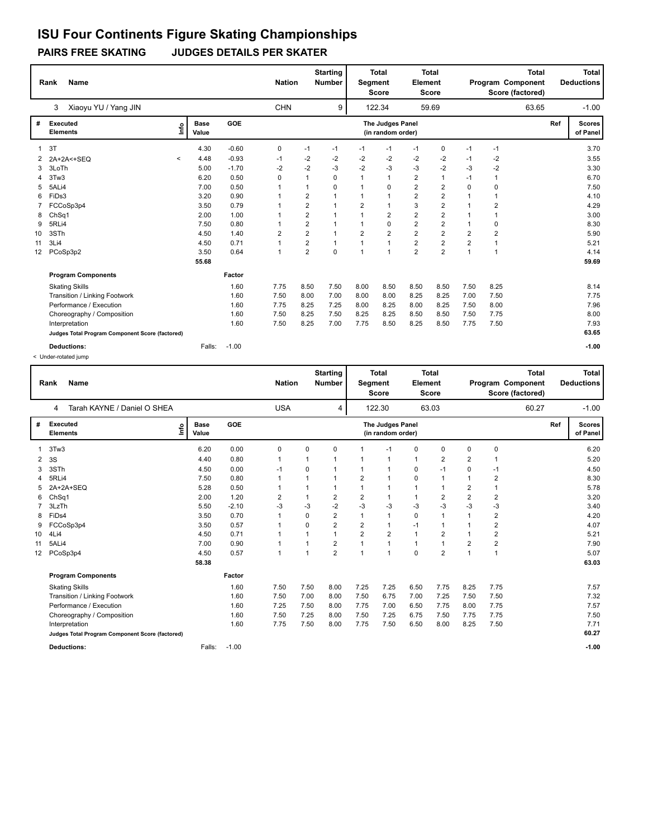### **PAIRS FREE SKATING JUDGES DETAILS PER SKATER**

|                 | Name<br>Rank                                    |                              |         | <b>Nation</b> |                | <b>Starting</b><br><b>Number</b> | <b>Total</b><br>Segment<br><b>Score</b> |                                       | <b>Total</b><br>Element<br><b>Score</b> |                |                |                | <b>Total</b><br>Program Component<br>Score (factored) |     | Total<br><b>Deductions</b> |
|-----------------|-------------------------------------------------|------------------------------|---------|---------------|----------------|----------------------------------|-----------------------------------------|---------------------------------------|-----------------------------------------|----------------|----------------|----------------|-------------------------------------------------------|-----|----------------------------|
|                 | Xiaoyu YU / Yang JIN<br>3                       |                              |         | <b>CHN</b>    |                | 9                                |                                         | 122.34                                |                                         | 59.69          |                |                | 63.65                                                 |     | $-1.00$                    |
| #               | Executed<br><b>Elements</b>                     | <b>Base</b><br>١mfo<br>Value | GOE     |               |                |                                  |                                         | The Judges Panel<br>(in random order) |                                         |                |                |                |                                                       | Ref | <b>Scores</b><br>of Panel  |
|                 | 3T                                              | 4.30                         | $-0.60$ | 0             | $-1$           | $-1$                             | $-1$                                    | $-1$                                  | $-1$                                    | 0              | $-1$           | $-1$           |                                                       |     | 3.70                       |
| $\mathbf{2}$    | 2A+2A<+SEQ<br>$\,<\,$                           | 4.48                         | $-0.93$ | $-1$          | $-2$           | $-2$                             | $-2$                                    | $-2$                                  | $-2$                                    | -2             | $-1$           | -2             |                                                       |     | 3.55                       |
| 3               | 3LoTh                                           | 5.00                         | $-1.70$ | $-2$          | $-2$           | -3                               | $-2$                                    | $-3$                                  | $-3$                                    | $-2$           | -3             | $-2$           |                                                       |     | 3.30                       |
|                 | 3Tw3                                            | 6.20                         | 0.50    | 0             | 1              | $\Omega$                         | 1                                       | $\mathbf{1}$                          | $\overline{2}$                          | $\mathbf{1}$   | $-1$           | $\mathbf{1}$   |                                                       |     | 6.70                       |
| 5               | 5ALi4                                           | 7.00                         | 0.50    | -1            | $\mathbf{1}$   | 0                                | 1                                       | 0                                     | $\overline{2}$                          | $\overline{2}$ | $\Omega$       | 0              |                                                       |     | 7.50                       |
| 6               | FiDs3                                           | 3.20                         | 0.90    | 1             | $\overline{2}$ | 1                                |                                         | $\mathbf{1}$                          | $\overline{2}$                          | $\overline{2}$ |                | 1              |                                                       |     | 4.10                       |
|                 | FCCoSp3p4                                       | 3.50                         | 0.79    | $\mathbf 1$   | $\overline{2}$ | $\mathbf 1$                      | $\overline{2}$                          | $\mathbf{1}$                          | 3                                       | $\overline{2}$ |                | $\overline{2}$ |                                                       |     | 4.29                       |
| 8               | ChSq1                                           | 2.00                         | 1.00    | 1             | $\overline{2}$ | 1                                | 1                                       | $\overline{2}$                        | $\overline{2}$                          | $\overline{2}$ | $\mathbf 1$    | 1              |                                                       |     | 3.00                       |
| 9               | 5RLi4                                           | 7.50                         | 0.80    | 1             | $\overline{2}$ | 1                                |                                         | 0                                     | $\overline{2}$                          | $\overline{2}$ | $\mathbf 1$    | 0              |                                                       |     | 8.30                       |
| 10              | 3STh                                            | 4.50                         | 1.40    | 2             | $\overline{2}$ | 1                                | $\overline{2}$                          | $\overline{2}$                        | $\overline{2}$                          | $\overline{2}$ | 2              | 2              |                                                       |     | 5.90                       |
| 11              | 3Li4                                            | 4.50                         | 0.71    | 1             | $\overline{2}$ | 1                                | 1                                       | $\mathbf{1}$                          | $\overline{2}$                          | $\overline{2}$ | $\overline{2}$ | $\mathbf{1}$   |                                                       |     | 5.21                       |
| 12 <sup>2</sup> | PCoSp3p2                                        | 3.50                         | 0.64    | 1             | $\overline{2}$ | $\Omega$                         | 1                                       | 1                                     | $\overline{2}$                          | $\overline{2}$ | $\mathbf{1}$   | 1              |                                                       |     | 4.14                       |
|                 |                                                 | 55.68                        |         |               |                |                                  |                                         |                                       |                                         |                |                |                |                                                       |     | 59.69                      |
|                 | <b>Program Components</b>                       |                              | Factor  |               |                |                                  |                                         |                                       |                                         |                |                |                |                                                       |     |                            |
|                 | <b>Skating Skills</b>                           |                              | 1.60    | 7.75          | 8.50           | 7.50                             | 8.00                                    | 8.50                                  | 8.50                                    | 8.50           | 7.50           | 8.25           |                                                       |     | 8.14                       |
|                 | Transition / Linking Footwork                   |                              | 1.60    | 7.50          | 8.00           | 7.00                             | 8.00                                    | 8.00                                  | 8.25                                    | 8.25           | 7.00           | 7.50           |                                                       |     | 7.75                       |
|                 | Performance / Execution                         |                              | 1.60    | 7.75          | 8.25           | 7.25                             | 8.00                                    | 8.25                                  | 8.00                                    | 8.25           | 7.50           | 8.00           |                                                       |     | 7.96                       |
|                 | Choreography / Composition                      |                              | 1.60    | 7.50          | 8.25           | 7.50                             | 8.25                                    | 8.25                                  | 8.50                                    | 8.50           | 7.50           | 7.75           |                                                       |     | 8.00                       |
|                 | Interpretation                                  |                              | 1.60    | 7.50          | 8.25           | 7.00                             | 7.75                                    | 8.50                                  | 8.25                                    | 8.50           | 7.75           | 7.50           |                                                       |     | 7.93                       |
|                 | Judges Total Program Component Score (factored) |                              |         |               |                |                                  |                                         |                                       |                                         |                |                |                |                                                       |     | 63.65                      |
|                 | <b>Deductions:</b>                              | Falls:                       | $-1.00$ |               |                |                                  |                                         |                                       |                                         |                |                |                |                                                       |     | $-1.00$                    |

< Under-rotated jump

|                 | <b>Name</b><br>Rank                             |                      |         | <b>Nation</b>  |      | <b>Starting</b><br><b>Number</b> | Segment        | <b>Total</b><br><b>Score</b>          | Element      | <b>Total</b><br><b>Score</b> |                |                | <b>Total</b><br>Program Component<br>Score (factored) |     | <b>Total</b><br><b>Deductions</b> |
|-----------------|-------------------------------------------------|----------------------|---------|----------------|------|----------------------------------|----------------|---------------------------------------|--------------|------------------------------|----------------|----------------|-------------------------------------------------------|-----|-----------------------------------|
|                 | Tarah KAYNE / Daniel O SHEA<br>4                |                      |         | <b>USA</b>     |      | 4                                |                | 122.30                                |              | 63.03                        |                |                | 60.27                                                 |     | $-1.00$                           |
| #               | Executed<br>Info<br><b>Elements</b>             | <b>Base</b><br>Value | GOE     |                |      |                                  |                | The Judges Panel<br>(in random order) |              |                              |                |                |                                                       | Ref | <b>Scores</b><br>of Panel         |
|                 | 3Tw3                                            | 6.20                 | 0.00    | 0              | 0    | 0                                |                | $-1$                                  | 0            | $\mathbf 0$                  | 0              | 0              |                                                       |     | 6.20                              |
| 2               | 3S                                              | 4.40                 | 0.80    | $\mathbf{1}$   |      |                                  |                | $\mathbf{1}$                          | $\mathbf{1}$ | 2                            | $\overline{2}$ | 1              |                                                       |     | 5.20                              |
| 3               | 3STh                                            | 4.50                 | 0.00    | $-1$           | 0    |                                  | 1              | $\mathbf{1}$                          | 0            | $-1$                         | 0              | $-1$           |                                                       |     | 4.50                              |
| 4               | 5RLi4                                           | 7.50                 | 0.80    | $\mathbf{1}$   |      |                                  | 2              | $\mathbf{1}$                          | 0            | 1                            | 1              | 2              |                                                       |     | 8.30                              |
| 5               | 2A+2A+SEQ                                       | 5.28                 | 0.50    | $\mathbf{1}$   |      | 1                                | 1              | $\mathbf{1}$                          | 1            | 1                            | $\overline{2}$ | 1              |                                                       |     | 5.78                              |
| 6               | Ch <sub>Sq1</sub>                               | 2.00                 | 1.20    | $\overline{2}$ | 1    | $\overline{2}$                   | $\overline{2}$ | 1                                     | $\mathbf{1}$ | 2                            | $\overline{2}$ | 2              |                                                       |     | 3.20                              |
| 7               | 3LzTh                                           | 5.50                 | $-2.10$ | $-3$           | $-3$ | $-2$                             | $-3$           | $-3$                                  | $-3$         | $-3$                         | $-3$           | -3             |                                                       |     | 3.40                              |
| 8               | FiD <sub>s4</sub>                               | 3.50                 | 0.70    | $\mathbf{1}$   | 0    | $\overline{2}$                   | 1              | 1                                     | $\mathbf 0$  | $\mathbf 1$                  |                | $\overline{2}$ |                                                       |     | 4.20                              |
| 9               | FCCoSp3p4                                       | 3.50                 | 0.57    | $\mathbf 1$    | 0    | $\overline{2}$                   | $\overline{2}$ | $\mathbf{1}$                          | $-1$         | 1                            |                | $\overline{2}$ |                                                       |     | 4.07                              |
| 10              | 4Li4                                            | 4.50                 | 0.71    | $\overline{1}$ |      |                                  | 2              | 2                                     | 1            | 2                            |                | $\overline{2}$ |                                                       |     | 5.21                              |
| 11              | 5ALi4                                           | 7.00                 | 0.90    | 1              |      | 2                                | 1              | $\mathbf{1}$                          | $\mathbf{1}$ | 1                            | $\overline{2}$ | $\overline{2}$ |                                                       |     | 7.90                              |
| 12 <sup>2</sup> | PCoSp3p4                                        | 4.50                 | 0.57    | $\mathbf{1}$   | 1    | $\overline{2}$                   | 1              | $\overline{1}$                        | $\Omega$     | $\overline{2}$               | 1              | $\mathbf{1}$   |                                                       |     | 5.07                              |
|                 |                                                 | 58.38                |         |                |      |                                  |                |                                       |              |                              |                |                |                                                       |     | 63.03                             |
|                 | <b>Program Components</b>                       |                      | Factor  |                |      |                                  |                |                                       |              |                              |                |                |                                                       |     |                                   |
|                 | <b>Skating Skills</b>                           |                      | 1.60    | 7.50           | 7.50 | 8.00                             | 7.25           | 7.25                                  | 6.50         | 7.75                         | 8.25           | 7.75           |                                                       |     | 7.57                              |
|                 | Transition / Linking Footwork                   |                      | 1.60    | 7.50           | 7.00 | 8.00                             | 7.50           | 6.75                                  | 7.00         | 7.25                         | 7.50           | 7.50           |                                                       |     | 7.32                              |
|                 | Performance / Execution                         |                      | 1.60    | 7.25           | 7.50 | 8.00                             | 7.75           | 7.00                                  | 6.50         | 7.75                         | 8.00           | 7.75           |                                                       |     | 7.57                              |
|                 | Choreography / Composition                      |                      | 1.60    | 7.50           | 7.25 | 8.00                             | 7.50           | 7.25                                  | 6.75         | 7.50                         | 7.75           | 7.75           |                                                       |     | 7.50                              |
|                 | Interpretation                                  |                      | 1.60    | 7.75           | 7.50 | 8.00                             | 7.75           | 7.50                                  | 6.50         | 8.00                         | 8.25           | 7.50           |                                                       |     | 7.71                              |
|                 | Judges Total Program Component Score (factored) |                      |         |                |      |                                  |                |                                       |              |                              |                |                |                                                       |     | 60.27                             |
|                 | <b>Deductions:</b>                              | Falls:               | $-1.00$ |                |      |                                  |                |                                       |              |                              |                |                |                                                       |     | $-1.00$                           |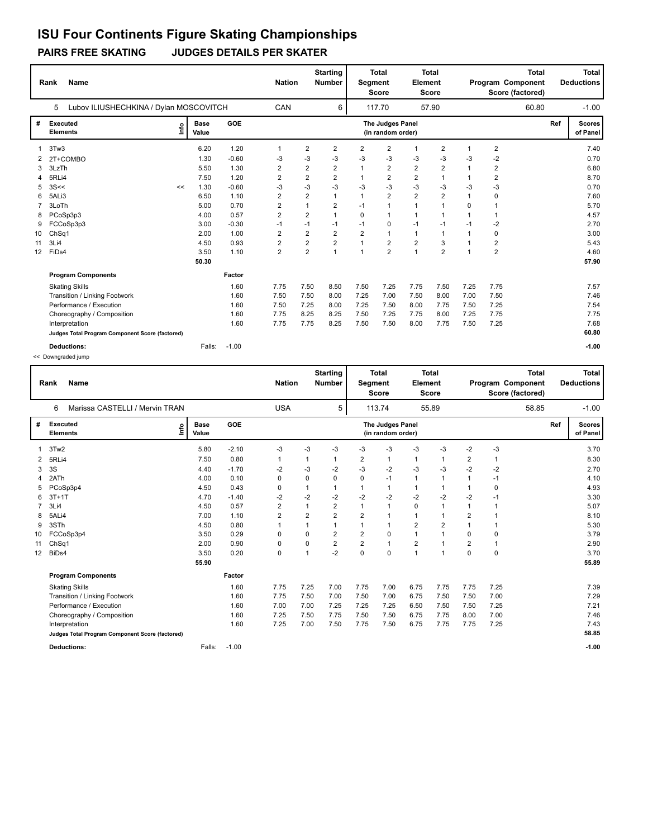### **PAIRS FREE SKATING JUDGES DETAILS PER SKATER**

|    | <b>Name</b><br>Rank                             |                      |         |                | <b>Starting</b><br><b>Nation</b><br><b>Number</b> |                | <b>Total</b><br><b>Total</b><br>Element<br><b>Segment</b><br><b>Score</b><br><b>Score</b> |                                       | <b>Total</b><br><b>Program Component</b><br>Score (factored) |                |                |                | <b>Total</b><br><b>Deductions</b> |     |                           |
|----|-------------------------------------------------|----------------------|---------|----------------|---------------------------------------------------|----------------|-------------------------------------------------------------------------------------------|---------------------------------------|--------------------------------------------------------------|----------------|----------------|----------------|-----------------------------------|-----|---------------------------|
|    | Lubov ILIUSHECHKINA / Dylan MOSCOVITCH<br>5     |                      |         | CAN            |                                                   | 6              |                                                                                           | 117.70                                |                                                              | 57.90          |                |                | 60.80                             |     | $-1.00$                   |
| #  | Executed<br>١m<br><b>Elements</b>               | <b>Base</b><br>Value | GOE     |                |                                                   |                |                                                                                           | The Judges Panel<br>(in random order) |                                                              |                |                |                |                                   | Ref | <b>Scores</b><br>of Panel |
|    | 3Tw3                                            | 6.20                 | 1.20    | 1              | 2                                                 | 2              | 2                                                                                         | 2                                     | $\mathbf{1}$                                                 | 2              | -1             | 2              |                                   |     | 7.40                      |
|    | 2T+COMBO                                        | 1.30                 | $-0.60$ | -3             | $-3$                                              | $-3$           | $-3$                                                                                      | $-3$                                  | $-3$                                                         | -3             | -3             | $-2$           |                                   |     | 0.70                      |
| 3  | 3LzTh                                           | 5.50                 | 1.30    | $\overline{2}$ | $\overline{2}$                                    | $\overline{2}$ | 1                                                                                         | $\overline{2}$                        | $\overline{2}$                                               | $\overline{2}$ |                | $\overline{2}$ |                                   |     | 6.80                      |
|    | 5RLi4                                           | 7.50                 | 1.20    | $\overline{2}$ | $\overline{2}$                                    | $\overline{2}$ | 1                                                                                         | $\overline{2}$                        | $\overline{2}$                                               | $\mathbf{1}$   | $\mathbf{1}$   | $\overline{2}$ |                                   |     | 8.70                      |
| 5  | 3S<<<br><<                                      | 1.30                 | $-0.60$ | -3             | $-3$                                              | $-3$           | -3                                                                                        | $-3$                                  | $-3$                                                         | -3             | -3             | $-3$           |                                   |     | 0.70                      |
| 6  | 5ALi3                                           | 6.50                 | 1.10    | $\overline{2}$ | $\overline{2}$                                    | 1              | $\mathbf{1}$                                                                              | $\overline{2}$                        | $\overline{2}$                                               | $\overline{2}$ | $\mathbf{1}$   | 0              |                                   |     | 7.60                      |
|    | 3LoTh                                           | 5.00                 | 0.70    | 2              | $\overline{1}$                                    | 2              | $-1$                                                                                      | $\mathbf{1}$                          | $\mathbf{1}$                                                 | $\overline{1}$ | $\Omega$       | -1             |                                   |     | 5.70                      |
| 8  | PCoSp3p3                                        | 4.00                 | 0.57    | $\overline{2}$ | $\overline{2}$                                    | 1              | 0                                                                                         | $\mathbf{1}$                          | $\mathbf{1}$                                                 | $\overline{1}$ | $\overline{1}$ | $\mathbf{1}$   |                                   |     | 4.57                      |
| 9  | FCCoSp3p3                                       | 3.00                 | $-0.30$ | $-1$           | $-1$                                              | $-1$           | $-1$                                                                                      | $\mathbf 0$                           | $-1$                                                         | $-1$           | $-1$           | $-2$           |                                   |     | 2.70                      |
| 10 | ChSq1                                           | 2.00                 | 1.00    | 2              | $\overline{2}$                                    | $\overline{2}$ | $\overline{2}$                                                                            | $\mathbf{1}$                          | $\mathbf{1}$                                                 | $\overline{1}$ | $\mathbf{1}$   | 0              |                                   |     | 3.00                      |
| 11 | 3Li4                                            | 4.50                 | 0.93    | $\overline{2}$ | $\overline{2}$                                    | $\overline{2}$ | 1                                                                                         | $\overline{2}$                        | $\overline{2}$                                               | 3              |                | $\overline{2}$ |                                   |     | 5.43                      |
| 12 | FiDs4                                           | 3.50                 | 1.10    | $\overline{2}$ | $\overline{2}$                                    | 1              | 1                                                                                         | $\overline{2}$                        | $\mathbf{1}$                                                 | $\overline{2}$ |                | $\overline{2}$ |                                   |     | 4.60                      |
|    |                                                 | 50.30                |         |                |                                                   |                |                                                                                           |                                       |                                                              |                |                |                |                                   |     | 57.90                     |
|    | <b>Program Components</b>                       |                      | Factor  |                |                                                   |                |                                                                                           |                                       |                                                              |                |                |                |                                   |     |                           |
|    | <b>Skating Skills</b>                           |                      | 1.60    | 7.75           | 7.50                                              | 8.50           | 7.50                                                                                      | 7.25                                  | 7.75                                                         | 7.50           | 7.25           | 7.75           |                                   |     | 7.57                      |
|    | Transition / Linking Footwork                   |                      | 1.60    | 7.50           | 7.50                                              | 8.00           | 7.25                                                                                      | 7.00                                  | 7.50                                                         | 8.00           | 7.00           | 7.50           |                                   |     | 7.46                      |
|    | Performance / Execution                         |                      | 1.60    | 7.50           | 7.25                                              | 8.00           | 7.25                                                                                      | 7.50                                  | 8.00                                                         | 7.75           | 7.50           | 7.25           |                                   |     | 7.54                      |
|    | Choreography / Composition                      |                      | 1.60    | 7.75           | 8.25                                              | 8.25           | 7.50                                                                                      | 7.25                                  | 7.75                                                         | 8.00           | 7.25           | 7.75           |                                   |     | 7.75                      |
|    | Interpretation                                  |                      | 1.60    | 7.75           | 7.75                                              | 8.25           | 7.50                                                                                      | 7.50                                  | 8.00                                                         | 7.75           | 7.50           | 7.25           |                                   |     | 7.68                      |
|    | Judges Total Program Component Score (factored) |                      |         |                |                                                   |                |                                                                                           |                                       |                                                              |                |                |                |                                   |     | 60.80                     |
|    | <b>Deductions:</b>                              | Falls:               | $-1.00$ |                |                                                   |                |                                                                                           |                                       |                                                              |                |                |                |                                   |     | $-1.00$                   |

<< Downgraded jump

|                          | <b>Name</b><br>Rank                             |                      |         |                | <b>Starting</b><br><b>Nation</b><br><b>Number</b> |                |                | <b>Total</b><br><b>Total</b><br>Element<br><b>Segment</b><br><b>Score</b><br><b>Score</b> |                | <b>Total</b><br>Program Component<br>Score (factored) |                |              | <b>Total</b><br><b>Deductions</b> |                           |
|--------------------------|-------------------------------------------------|----------------------|---------|----------------|---------------------------------------------------|----------------|----------------|-------------------------------------------------------------------------------------------|----------------|-------------------------------------------------------|----------------|--------------|-----------------------------------|---------------------------|
|                          | Marissa CASTELLI / Mervin TRAN<br>6             |                      |         | <b>USA</b>     |                                                   | 5              |                | 113.74                                                                                    |                | 55.89                                                 |                | 58.85        |                                   | $-1.00$                   |
| #                        | <b>Executed</b><br>Info<br><b>Elements</b>      | <b>Base</b><br>Value | GOE     |                |                                                   |                |                | The Judges Panel<br>(in random order)                                                     |                |                                                       |                |              | Ref                               | <b>Scores</b><br>of Panel |
| $\overline{\phantom{a}}$ | 3Tw2                                            | 5.80                 | $-2.10$ | -3             | $-3$                                              | $-3$           | $-3$           | $-3$                                                                                      | $-3$           | $-3$                                                  | $-2$           | $-3$         |                                   | 3.70                      |
| 2                        | 5RLi4                                           | 7.50                 | 0.80    | $\mathbf{1}$   |                                                   | $\mathbf 1$    | 2              | $\mathbf{1}$                                                                              | 1              | 1                                                     | 2              | 1            |                                   | 8.30                      |
| 3                        | 3S                                              | 4.40                 | $-1.70$ | $-2$           | $-3$                                              | $-2$           | $-3$           | $-2$                                                                                      | $-3$           | $-3$                                                  | $-2$           | $-2$         |                                   | 2.70                      |
| 4                        | 2ATh                                            | 4.00                 | 0.10    | $\mathbf 0$    | $\mathbf 0$                                       | $\Omega$       | 0              | $-1$                                                                                      | $\mathbf{1}$   | 1                                                     | 1              | $-1$         |                                   | 4.10                      |
| 5                        | PCoSp3p4                                        | 4.50                 | 0.43    | 0              | 1                                                 | $\mathbf 1$    | 1              | $\mathbf{1}$                                                                              | $\mathbf{1}$   | 1                                                     | 1              | 0            |                                   | 4.93                      |
| 6                        | $3T+1T$                                         | 4.70                 | $-1.40$ | $-2$           | $-2$                                              | $-2$           | $-2$           | $-2$                                                                                      | $-2$           | $-2$                                                  | $-2$           | $-1$         |                                   | 3.30                      |
| 7                        | 3Li4                                            | 4.50                 | 0.57    | $\overline{2}$ | 1                                                 | $\overline{2}$ | 1              | $\mathbf{1}$                                                                              | $\Omega$       | 1                                                     | 1              | 1            |                                   | 5.07                      |
| 8                        | 5ALi4                                           | 7.00                 | 1.10    | $\overline{2}$ | $\overline{2}$                                    | $\overline{2}$ | $\overline{2}$ | $\mathbf{1}$                                                                              | 1              | 1                                                     | $\overline{2}$ | 1            |                                   | 8.10                      |
| 9                        | 3STh                                            | 4.50                 | 0.80    | $\mathbf{1}$   | 1                                                 | $\mathbf{1}$   | 1              | $\mathbf{1}$                                                                              | $\overline{2}$ | $\overline{2}$                                        | 1              | 1            |                                   | 5.30                      |
| 10                       | FCCoSp3p4                                       | 3.50                 | 0.29    | 0              | 0                                                 | 2              | $\overline{2}$ | 0                                                                                         | 1              | $\mathbf{1}$                                          | 0              | 0            |                                   | 3.79                      |
| 11                       | ChSq1                                           | 2.00                 | 0.90    | $\mathbf 0$    | $\mathbf 0$                                       | $\overline{2}$ | $\overline{2}$ | $\mathbf{1}$                                                                              | $\overline{2}$ | $\mathbf{1}$                                          | $\overline{2}$ | $\mathbf{1}$ |                                   | 2.90                      |
| 12                       | BiD <sub>s4</sub>                               | 3.50                 | 0.20    | $\mathbf 0$    | 1                                                 | $-2$           | 0              | $\Omega$                                                                                  | $\overline{1}$ | $\mathbf{1}$                                          | $\Omega$       | $\Omega$     |                                   | 3.70                      |
|                          |                                                 | 55.90                |         |                |                                                   |                |                |                                                                                           |                |                                                       |                |              |                                   | 55.89                     |
|                          | <b>Program Components</b>                       |                      | Factor  |                |                                                   |                |                |                                                                                           |                |                                                       |                |              |                                   |                           |
|                          | <b>Skating Skills</b>                           |                      | 1.60    | 7.75           | 7.25                                              | 7.00           | 7.75           | 7.00                                                                                      | 6.75           | 7.75                                                  | 7.75           | 7.25         |                                   | 7.39                      |
|                          | Transition / Linking Footwork                   |                      | 1.60    | 7.75           | 7.50                                              | 7.00           | 7.50           | 7.00                                                                                      | 6.75           | 7.50                                                  | 7.50           | 7.00         |                                   | 7.29                      |
|                          | Performance / Execution                         |                      | 1.60    | 7.00           | 7.00                                              | 7.25           | 7.25           | 7.25                                                                                      | 6.50           | 7.50                                                  | 7.50           | 7.25         |                                   | 7.21                      |
|                          | Choreography / Composition                      |                      | 1.60    | 7.25           | 7.50                                              | 7.75           | 7.50           | 7.50                                                                                      | 6.75           | 7.75                                                  | 8.00           | 7.00         |                                   | 7.46                      |
|                          | Interpretation                                  |                      | 1.60    | 7.25           | 7.00                                              | 7.50           | 7.75           | 7.50                                                                                      | 6.75           | 7.75                                                  | 7.75           | 7.25         |                                   | 7.43                      |
|                          | Judges Total Program Component Score (factored) |                      |         |                |                                                   |                |                |                                                                                           |                |                                                       |                |              |                                   | 58.85                     |
|                          | <b>Deductions:</b>                              | Falls:               | $-1.00$ |                |                                                   |                |                |                                                                                           |                |                                                       |                |              |                                   | $-1.00$                   |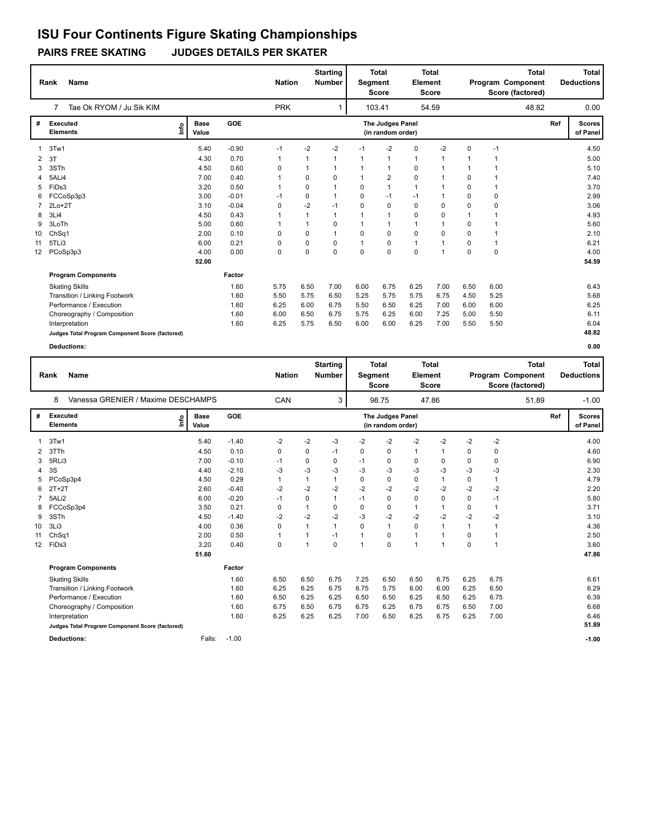### **PAIRS FREE SKATING JUDGES DETAILS PER SKATER**

|                 | Name<br>Rank                                    |                              |         | <b>Nation</b> |              | <b>Starting</b><br><b>Number</b> | <b>Total</b><br>Segment<br><b>Score</b> |                                       | <b>Total</b><br>Element<br><b>Score</b> |             |              | Program Component<br>Score (factored) | <b>Total</b> | <b>Total</b><br><b>Deductions</b> |
|-----------------|-------------------------------------------------|------------------------------|---------|---------------|--------------|----------------------------------|-----------------------------------------|---------------------------------------|-----------------------------------------|-------------|--------------|---------------------------------------|--------------|-----------------------------------|
|                 | Tae Ok RYOM / Ju Sik KIM<br>7                   |                              |         | <b>PRK</b>    |              |                                  |                                         | 103.41                                |                                         | 54.59       |              |                                       | 48.82        | 0.00                              |
| #               | Executed<br><b>Elements</b>                     | <b>Base</b><br>١mfo<br>Value | GOE     |               |              |                                  |                                         | The Judges Panel<br>(in random order) |                                         |             |              |                                       |              | Ref<br><b>Scores</b><br>of Panel  |
|                 | 3Tw1                                            | 5.40                         | $-0.90$ | $-1$          | -2           | $-2$                             | $-1$                                    | $-2$                                  | 0                                       | $-2$        | 0            | $-1$                                  |              | 4.50                              |
| $\overline{2}$  | 3T                                              | 4.30                         | 0.70    | $\mathbf{1}$  | 1            | 1                                | 1                                       | 1                                     | $\mathbf{1}$                            | 1           |              | $\overline{1}$                        |              | 5.00                              |
| 3               | 3STh                                            | 4.50                         | 0.60    | 0             | $\mathbf{1}$ | 1                                | 1                                       | 1                                     | 0                                       | 1           | $\mathbf 1$  | $\overline{1}$                        |              | 5.10                              |
| 4               | 5ALi4                                           | 7.00                         | 0.40    | 1             | 0            | 0                                | $\mathbf{1}$                            | 2                                     | $\mathbf 0$                             | 1           | 0            | $\mathbf{1}$                          |              | 7.40                              |
| 5               | FiDs3                                           | 3.20                         | 0.50    | 1             | 0            | 1                                | $\Omega$                                | $\mathbf{1}$                          | $\mathbf{1}$                            | 1           | 0            | $\mathbf{1}$                          |              | 3.70                              |
| 6               | FCCoSp3p3                                       | 3.00                         | $-0.01$ | $-1$          | 0            | 1                                | $\Omega$                                | $-1$                                  | $-1$                                    |             | 0            | 0                                     |              | 2.99                              |
|                 | $2Lo+2T$                                        | 3.10                         | $-0.04$ | 0             | $-2$         | $-1$                             | 0                                       | 0                                     | 0                                       | $\mathbf 0$ | 0            | 0                                     |              | 3.06                              |
| 8               | 3Li4                                            | 4.50                         | 0.43    | 1             | $\mathbf{1}$ | 1                                | $\mathbf 1$                             | 1                                     | $\mathbf 0$                             | $\mathbf 0$ | $\mathbf{1}$ | $\overline{1}$                        |              | 4.93                              |
| 9               | 3LoTh                                           | 5.00                         | 0.60    | 1             | $\mathbf{1}$ | 0                                | 1                                       | $\mathbf 1$                           | $\mathbf{1}$                            |             | 0            | $\mathbf 1$                           |              | 5.60                              |
| 10              | Ch <sub>Sq1</sub>                               | 2.00                         | 0.10    | 0             | $\mathbf 0$  |                                  | $\Omega$                                | $\mathbf 0$                           | $\mathbf 0$                             | $\Omega$    | 0            | 1                                     |              | 2.10                              |
| 11              | 5TLi3                                           | 6.00                         | 0.21    | 0             | 0            | 0                                | $\mathbf 1$                             | $\mathbf 0$                           | $\mathbf{1}$                            |             | 0            | $\mathbf{1}$                          |              | 6.21                              |
| 12 <sup>°</sup> | PCoSp3p3                                        | 4.00                         | 0.00    | 0             | $\Omega$     | 0                                | $\Omega$                                | $\Omega$                              | $\mathbf 0$                             | 1           | 0            | $\mathbf 0$                           |              | 4.00                              |
|                 |                                                 | 52.00                        |         |               |              |                                  |                                         |                                       |                                         |             |              |                                       |              | 54.59                             |
|                 | <b>Program Components</b>                       |                              | Factor  |               |              |                                  |                                         |                                       |                                         |             |              |                                       |              |                                   |
|                 | <b>Skating Skills</b>                           |                              | 1.60    | 5.75          | 6.50         | 7.00                             | 6.00                                    | 6.75                                  | 6.25                                    | 7.00        | 6.50         | 6.00                                  |              | 6.43                              |
|                 | Transition / Linking Footwork                   |                              | 1.60    | 5.50          | 5.75         | 6.50                             | 5.25                                    | 5.75                                  | 5.75                                    | 6.75        | 4.50         | 5.25                                  |              | 5.68                              |
|                 | Performance / Execution                         |                              | 1.60    | 6.25          | 6.00         | 6.75                             | 5.50                                    | 6.50                                  | 6.25                                    | 7.00        | 6.00         | 6.00                                  |              | 6.25                              |
|                 | Choreography / Composition                      |                              | 1.60    | 6.00          | 6.50         | 6.75                             | 5.75                                    | 6.25                                  | 6.00                                    | 7.25        | 5.00         | 5.50                                  |              | 6.11                              |
|                 | Interpretation                                  |                              | 1.60    | 6.25          | 5.75         | 6.50                             | 6.00                                    | 6.00                                  | 6.25                                    | 7.00        | 5.50         | 5.50                                  |              | 6.04                              |
|                 | Judges Total Program Component Score (factored) |                              |         |               |              |                                  |                                         |                                       |                                         |             |              |                                       |              | 48.82                             |
|                 | <b>Deductions:</b>                              |                              |         |               |              |                                  |                                         |                                       |                                         |             |              |                                       |              | 0.00                              |

|    | <b>Name</b><br>Rank                             |                      |         | <b>Nation</b> |      | <b>Starting</b><br><b>Number</b> | Segment | <b>Total</b><br><b>Score</b>          | Element      | <b>Total</b><br><b>Score</b> |              |                | <b>Total</b><br>Program Component<br>Score (factored) |     | <b>Total</b><br><b>Deductions</b> |
|----|-------------------------------------------------|----------------------|---------|---------------|------|----------------------------------|---------|---------------------------------------|--------------|------------------------------|--------------|----------------|-------------------------------------------------------|-----|-----------------------------------|
|    | Vanessa GRENIER / Maxime DESCHAMPS<br>8         |                      |         | CAN           |      | 3                                |         | 98.75                                 |              | 47.86                        |              |                | 51.89                                                 |     | $-1.00$                           |
| #  | Executed<br>١m<br><b>Elements</b>               | <b>Base</b><br>Value | GOE     |               |      |                                  |         | The Judges Panel<br>(in random order) |              |                              |              |                |                                                       | Ref | <b>Scores</b><br>of Panel         |
|    | 3Tw1                                            | 5.40                 | $-1.40$ | $-2$          | $-2$ | $-3$                             | $-2$    | $-2$                                  | $-2$         | $-2$                         | $-2$         | $-2$           |                                                       |     | 4.00                              |
| 2  | 3TTh                                            | 4.50                 | 0.10    | 0             | 0    | $-1$                             | 0       | 0                                     | $\mathbf{1}$ | $\mathbf 1$                  | 0            | 0              |                                                       |     | 4.60                              |
| 3  | 5RLi3                                           | 7.00                 | $-0.10$ | -1            | 0    | 0                                | -1      | 0                                     | 0            | 0                            | 0            | 0              |                                                       |     | 6.90                              |
| 4  | 3S                                              | 4.40                 | $-2.10$ | -3            | $-3$ | $-3$                             | $-3$    | $-3$                                  | $-3$         | $-3$                         | $-3$         | $-3$           |                                                       |     | 2.30                              |
| 5  | PCoSp3p4                                        | 4.50                 | 0.29    | $\mathbf{1}$  | 1    | 1                                | 0       | 0                                     | 0            | $\overline{1}$               | 0            | $\overline{1}$ |                                                       |     | 4.79                              |
| 6  | $2T+2T$                                         | 2.60                 | $-0.40$ | $-2$          | $-2$ | $-2$                             | $-2$    | $-2$                                  | $-2$         | $-2$                         | $-2$         | $-2$           |                                                       |     | 2.20                              |
|    | 5ALi2                                           | 6.00                 | $-0.20$ | $-1$          | 0    | 1                                | $-1$    | 0                                     | 0            | 0                            | $\Omega$     | $-1$           |                                                       |     | 5.80                              |
| 8  | FCCoSp3p4                                       | 3.50                 | 0.21    | 0             |      | 0                                | 0       | 0                                     | $\mathbf{1}$ | $\overline{1}$               | 0            | $\overline{1}$ |                                                       |     | 3.71                              |
| 9  | 3STh                                            | 4.50                 | $-1.40$ | -2            | $-2$ | $-2$                             | $-3$    | $-2$                                  | $-2$         | $-2$                         | $-2$         | -2             |                                                       |     | 3.10                              |
| 10 | 3Li3                                            | 4.00                 | 0.36    | $\mathbf 0$   |      | $\mathbf{1}$                     | 0       | $\mathbf{1}$                          | $\mathbf 0$  | $\overline{1}$               | $\mathbf{1}$ | $\overline{1}$ |                                                       |     | 4.36                              |
| 11 | ChSq1                                           | 2.00                 | 0.50    | $\mathbf{1}$  |      | $-1$                             | 1       | 0                                     | $\mathbf{1}$ |                              | $\Omega$     |                |                                                       |     | 2.50                              |
| 12 | FiDs3                                           | 3.20                 | 0.40    | 0             | 1    | $\Omega$                         | 1       | $\Omega$                              | $\mathbf{1}$ | 1                            | $\Omega$     | $\overline{1}$ |                                                       |     | 3.60                              |
|    |                                                 | 51.60                |         |               |      |                                  |         |                                       |              |                              |              |                |                                                       |     | 47.86                             |
|    | <b>Program Components</b>                       |                      | Factor  |               |      |                                  |         |                                       |              |                              |              |                |                                                       |     |                                   |
|    | <b>Skating Skills</b>                           |                      | 1.60    | 6.50          | 6.50 | 6.75                             | 7.25    | 6.50                                  | 6.50         | 6.75                         | 6.25         | 6.75           |                                                       |     | 6.61                              |
|    | Transition / Linking Footwork                   |                      | 1.60    | 6.25          | 6.25 | 6.75                             | 6.75    | 5.75                                  | 6.00         | 6.00                         | 6.25         | 6.50           |                                                       |     | 6.29                              |
|    | Performance / Execution                         |                      | 1.60    | 6.50          | 6.25 | 6.25                             | 6.50    | 6.50                                  | 6.25         | 6.50                         | 6.25         | 6.75           |                                                       |     | 6.39                              |
|    | Choreography / Composition                      |                      | 1.60    | 6.75          | 6.50 | 6.75                             | 6.75    | 6.25                                  | 6.75         | 6.75                         | 6.50         | 7.00           |                                                       |     | 6.68                              |
|    | Interpretation                                  |                      | 1.60    | 6.25          | 6.25 | 6.25                             | 7.00    | 6.50                                  | 6.25         | 6.75                         | 6.25         | 7.00           |                                                       |     | 6.46                              |
|    | Judges Total Program Component Score (factored) |                      |         |               |      |                                  |         |                                       |              |                              |              |                |                                                       |     | 51.89                             |
|    | <b>Deductions:</b>                              | Falls:               | $-1.00$ |               |      |                                  |         |                                       |              |                              |              |                |                                                       |     | $-1.00$                           |